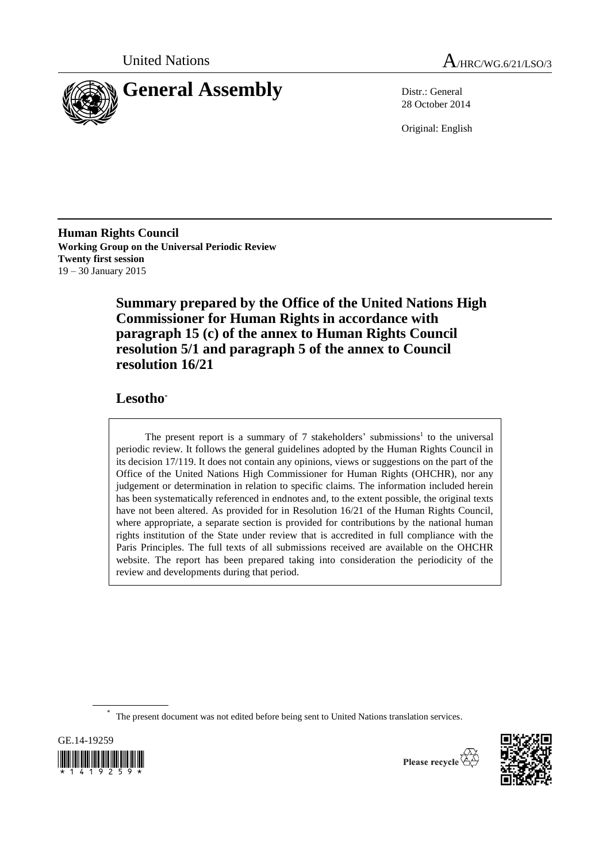



28 October 2014

Original: English

**Human Rights Council Working Group on the Universal Periodic Review Twenty first session** 19 – 30 January 2015

> **Summary prepared by the Office of the United Nations High Commissioner for Human Rights in accordance with paragraph 15 (c) of the annex to Human Rights Council resolution 5/1 and paragraph 5 of the annex to Council resolution 16/21**

# **Lesotho**\*

The present report is a summary of  $7$  stakeholders' submissions<sup>1</sup> to the universal periodic review. It follows the general guidelines adopted by the Human Rights Council in its decision 17/119. It does not contain any opinions, views or suggestions on the part of the Office of the United Nations High Commissioner for Human Rights (OHCHR), nor any judgement or determination in relation to specific claims. The information included herein has been systematically referenced in endnotes and, to the extent possible, the original texts have not been altered. As provided for in Resolution 16/21 of the Human Rights Council, where appropriate, a separate section is provided for contributions by the national human rights institution of the State under review that is accredited in full compliance with the Paris Principles. The full texts of all submissions received are available on the OHCHR website. The report has been prepared taking into consideration the periodicity of the review and developments during that period.

\* The present document was not edited before being sent to United Nations translation services.





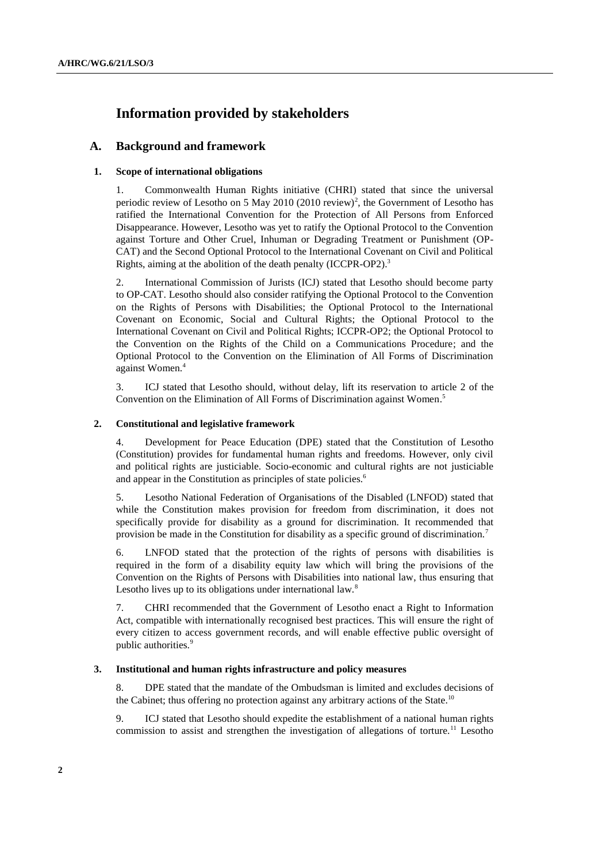# **Information provided by stakeholders**

## **A. Background and framework**

## **1. Scope of international obligations**

1. Commonwealth Human Rights initiative (CHRI) stated that since the universal periodic review of Lesotho on 5 May 2010 (2010 review)<sup>2</sup>, the Government of Lesotho has ratified the International Convention for the Protection of All Persons from Enforced Disappearance. However, Lesotho was yet to ratify the Optional Protocol to the Convention against Torture and Other Cruel, Inhuman or Degrading Treatment or Punishment (OP-CAT) and the Second Optional Protocol to the International Covenant on Civil and Political Rights, aiming at the abolition of the death penalty (ICCPR-OP2).<sup>3</sup>

2. International Commission of Jurists (ICJ) stated that Lesotho should become party to OP-CAT. Lesotho should also consider ratifying the Optional Protocol to the Convention on the Rights of Persons with Disabilities; the Optional Protocol to the International Covenant on Economic, Social and Cultural Rights; the Optional Protocol to the International Covenant on Civil and Political Rights; ICCPR-OP2; the Optional Protocol to the Convention on the Rights of the Child on a Communications Procedure; and the Optional Protocol to the Convention on the Elimination of All Forms of Discrimination against Women. 4

3. ICJ stated that Lesotho should, without delay, lift its reservation to article 2 of the Convention on the Elimination of All Forms of Discrimination against Women. 5

#### **2. Constitutional and legislative framework**

4. Development for Peace Education (DPE) stated that the Constitution of Lesotho (Constitution) provides for fundamental human rights and freedoms. However, only civil and political rights are justiciable. Socio-economic and cultural rights are not justiciable and appear in the Constitution as principles of state policies.<sup>6</sup>

5. Lesotho National Federation of Organisations of the Disabled (LNFOD) stated that while the Constitution makes provision for freedom from discrimination, it does not specifically provide for disability as a ground for discrimination. It recommended that provision be made in the Constitution for disability as a specific ground of discrimination.<sup>7</sup>

6. LNFOD stated that the protection of the rights of persons with disabilities is required in the form of a disability equity law which will bring the provisions of the Convention on the Rights of Persons with Disabilities into national law, thus ensuring that Lesotho lives up to its obligations under international law.<sup>8</sup>

7. CHRI recommended that the Government of Lesotho enact a Right to Information Act, compatible with internationally recognised best practices. This will ensure the right of every citizen to access government records, and will enable effective public oversight of public authorities.<sup>9</sup>

## **3. Institutional and human rights infrastructure and policy measures**

8. DPE stated that the mandate of the Ombudsman is limited and excludes decisions of the Cabinet; thus offering no protection against any arbitrary actions of the State.<sup>10</sup>

9. ICJ stated that Lesotho should expedite the establishment of a national human rights commission to assist and strengthen the investigation of allegations of torture.<sup>11</sup> Lesotho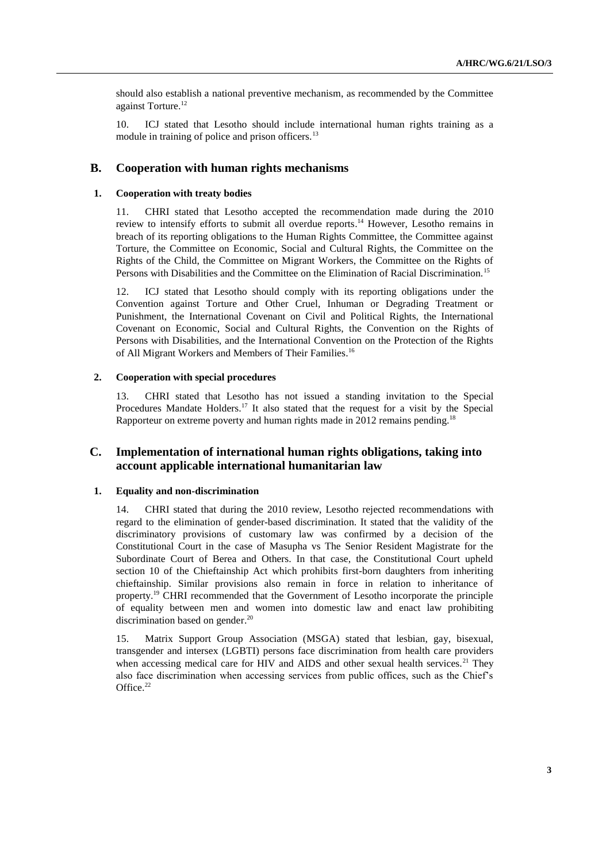should also establish a national preventive mechanism, as recommended by the Committee against Torture.<sup>12</sup>

10. ICJ stated that Lesotho should include international human rights training as a module in training of police and prison officers.<sup>13</sup>

## **B. Cooperation with human rights mechanisms**

#### **1. Cooperation with treaty bodies**

11. CHRI stated that Lesotho accepted the recommendation made during the 2010 review to intensify efforts to submit all overdue reports.<sup>14</sup> However, Lesotho remains in breach of its reporting obligations to the Human Rights Committee, the Committee against Torture, the Committee on Economic, Social and Cultural Rights, the Committee on the Rights of the Child, the Committee on Migrant Workers, the Committee on the Rights of Persons with Disabilities and the Committee on the Elimination of Racial Discrimination.<sup>15</sup>

12. ICJ stated that Lesotho should comply with its reporting obligations under the Convention against Torture and Other Cruel, Inhuman or Degrading Treatment or Punishment, the International Covenant on Civil and Political Rights, the International Covenant on Economic, Social and Cultural Rights, the Convention on the Rights of Persons with Disabilities, and the International Convention on the Protection of the Rights of All Migrant Workers and Members of Their Families.<sup>16</sup>

## **2. Cooperation with special procedures**

13. CHRI stated that Lesotho has not issued a standing invitation to the Special Procedures Mandate Holders.<sup>17</sup> It also stated that the request for a visit by the Special Rapporteur on extreme poverty and human rights made in 2012 remains pending.<sup>18</sup>

## **C. Implementation of international human rights obligations, taking into account applicable international humanitarian law**

## **1. Equality and non-discrimination**

14. CHRI stated that during the 2010 review, Lesotho rejected recommendations with regard to the elimination of gender-based discrimination. It stated that the validity of the discriminatory provisions of customary law was confirmed by a decision of the Constitutional Court in the case of Masupha vs The Senior Resident Magistrate for the Subordinate Court of Berea and Others. In that case, the Constitutional Court upheld section 10 of the Chieftainship Act which prohibits first-born daughters from inheriting chieftainship. Similar provisions also remain in force in relation to inheritance of property.<sup>19</sup> CHRI recommended that the Government of Lesotho incorporate the principle of equality between men and women into domestic law and enact law prohibiting discrimination based on gender. 20

15. Matrix Support Group Association (MSGA) stated that lesbian, gay, bisexual, transgender and intersex (LGBTI) persons face discrimination from health care providers when accessing medical care for HIV and AIDS and other sexual health services. $21$  They also face discrimination when accessing services from public offices, such as the Chief's Office.<sup>22</sup>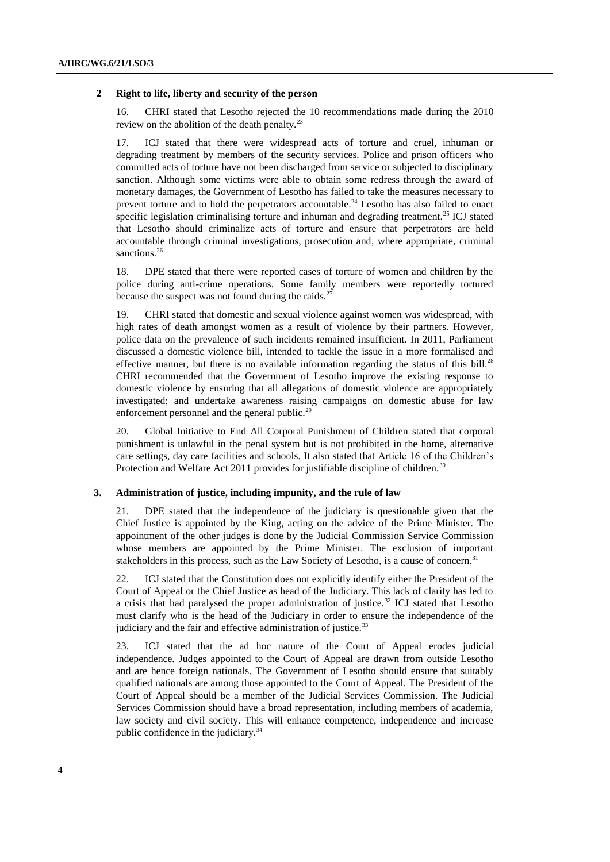#### **2 Right to life, liberty and security of the person**

16. CHRI stated that Lesotho rejected the 10 recommendations made during the 2010 review on the abolition of the death penalty. $^{23}$ 

17. ICJ stated that there were widespread acts of torture and cruel, inhuman or degrading treatment by members of the security services. Police and prison officers who committed acts of torture have not been discharged from service or subjected to disciplinary sanction. Although some victims were able to obtain some redress through the award of monetary damages, the Government of Lesotho has failed to take the measures necessary to prevent torture and to hold the perpetrators accountable.<sup>24</sup> Lesotho has also failed to enact specific legislation criminalising torture and inhuman and degrading treatment.<sup>25</sup> ICJ stated that Lesotho should criminalize acts of torture and ensure that perpetrators are held accountable through criminal investigations, prosecution and, where appropriate, criminal sanctions.<sup>26</sup>

18. DPE stated that there were reported cases of torture of women and children by the police during anti-crime operations. Some family members were reportedly tortured because the suspect was not found during the raids. $27$ 

19. CHRI stated that domestic and sexual violence against women was widespread, with high rates of death amongst women as a result of violence by their partners. However, police data on the prevalence of such incidents remained insufficient. In 2011, Parliament discussed a domestic violence bill, intended to tackle the issue in a more formalised and effective manner, but there is no available information regarding the status of this bill.<sup>28</sup> CHRI recommended that the Government of Lesotho improve the existing response to domestic violence by ensuring that all allegations of domestic violence are appropriately investigated; and undertake awareness raising campaigns on domestic abuse for law enforcement personnel and the general public.<sup>29</sup>

20. Global Initiative to End All Corporal Punishment of Children stated that corporal punishment is unlawful in the penal system but is not prohibited in the home, alternative care settings, day care facilities and schools. It also stated that Article 16 of the Children's Protection and Welfare Act 2011 provides for justifiable discipline of children.<sup>30</sup>

#### **3. Administration of justice, including impunity, and the rule of law**

21. DPE stated that the independence of the judiciary is questionable given that the Chief Justice is appointed by the King, acting on the advice of the Prime Minister. The appointment of the other judges is done by the Judicial Commission Service Commission whose members are appointed by the Prime Minister. The exclusion of important stakeholders in this process, such as the Law Society of Lesotho, is a cause of concern.<sup>31</sup>

22. ICJ stated that the Constitution does not explicitly identify either the President of the Court of Appeal or the Chief Justice as head of the Judiciary. This lack of clarity has led to a crisis that had paralysed the proper administration of justice.<sup>32</sup> ICJ stated that Lesotho must clarify who is the head of the Judiciary in order to ensure the independence of the judiciary and the fair and effective administration of justice.<sup>33</sup>

23. ICJ stated that the ad hoc nature of the Court of Appeal erodes judicial independence. Judges appointed to the Court of Appeal are drawn from outside Lesotho and are hence foreign nationals. The Government of Lesotho should ensure that suitably qualified nationals are among those appointed to the Court of Appeal. The President of the Court of Appeal should be a member of the Judicial Services Commission. The Judicial Services Commission should have a broad representation, including members of academia, law society and civil society. This will enhance competence, independence and increase public confidence in the judiciary.34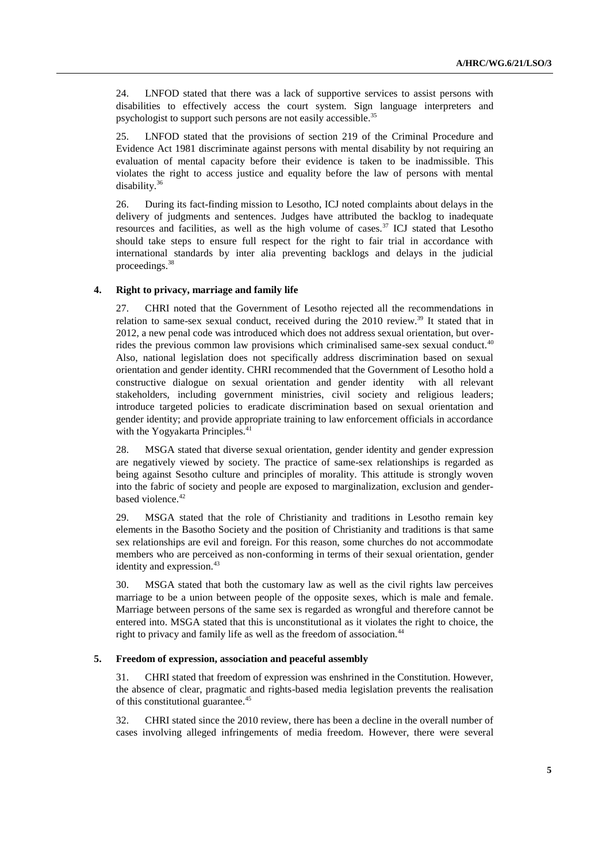24. LNFOD stated that there was a lack of supportive services to assist persons with disabilities to effectively access the court system. Sign language interpreters and psychologist to support such persons are not easily accessible.<sup>35</sup>

25. LNFOD stated that the provisions of section 219 of the Criminal Procedure and Evidence Act 1981 discriminate against persons with mental disability by not requiring an evaluation of mental capacity before their evidence is taken to be inadmissible. This violates the right to access justice and equality before the law of persons with mental disability.<sup>36</sup>

26. During its fact-finding mission to Lesotho, ICJ noted complaints about delays in the delivery of judgments and sentences. Judges have attributed the backlog to inadequate resources and facilities, as well as the high volume of cases.<sup>37</sup> ICJ stated that Lesotho should take steps to ensure full respect for the right to fair trial in accordance with international standards by inter alia preventing backlogs and delays in the judicial proceedings. 38

#### **4. Right to privacy, marriage and family life**

27. CHRI noted that the Government of Lesotho rejected all the recommendations in relation to same-sex sexual conduct, received during the  $2010$  review.<sup>39</sup> It stated that in 2012, a new penal code was introduced which does not address sexual orientation, but overrides the previous common law provisions which criminalised same-sex sexual conduct.<sup>40</sup> Also, national legislation does not specifically address discrimination based on sexual orientation and gender identity. CHRI recommended that the Government of Lesotho hold a constructive dialogue on sexual orientation and gender identity with all relevant stakeholders, including government ministries, civil society and religious leaders; introduce targeted policies to eradicate discrimination based on sexual orientation and gender identity; and provide appropriate training to law enforcement officials in accordance with the Yogyakarta Principles.<sup>41</sup>

28. MSGA stated that diverse sexual orientation, gender identity and gender expression are negatively viewed by society. The practice of same-sex relationships is regarded as being against Sesotho culture and principles of morality. This attitude is strongly woven into the fabric of society and people are exposed to marginalization, exclusion and genderbased violence.<sup>42</sup>

29. MSGA stated that the role of Christianity and traditions in Lesotho remain key elements in the Basotho Society and the position of Christianity and traditions is that same sex relationships are evil and foreign. For this reason, some churches do not accommodate members who are perceived as non-conforming in terms of their sexual orientation, gender identity and expression.<sup>43</sup>

30. MSGA stated that both the customary law as well as the civil rights law perceives marriage to be a union between people of the opposite sexes, which is male and female. Marriage between persons of the same sex is regarded as wrongful and therefore cannot be entered into. MSGA stated that this is unconstitutional as it violates the right to choice, the right to privacy and family life as well as the freedom of association.<sup>44</sup>

#### **5. Freedom of expression, association and peaceful assembly**

31. CHRI stated that freedom of expression was enshrined in the Constitution. However, the absence of clear, pragmatic and rights-based media legislation prevents the realisation of this constitutional guarantee.<sup>45</sup>

32. CHRI stated since the 2010 review, there has been a decline in the overall number of cases involving alleged infringements of media freedom. However, there were several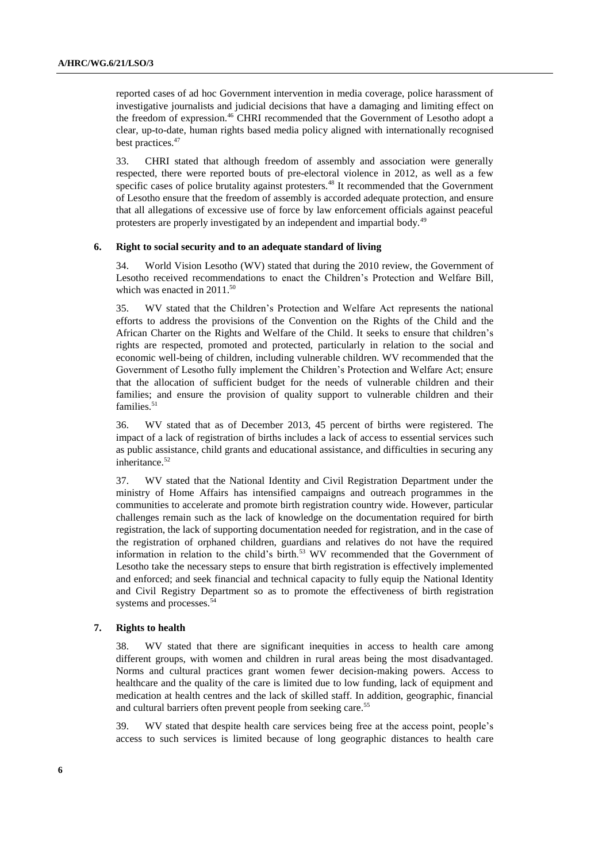reported cases of ad hoc Government intervention in media coverage, police harassment of investigative journalists and judicial decisions that have a damaging and limiting effect on the freedom of expression.<sup>46</sup> CHRI recommended that the Government of Lesotho adopt a clear, up-to-date, human rights based media policy aligned with internationally recognised best practices. 47

33. CHRI stated that although freedom of assembly and association were generally respected, there were reported bouts of pre-electoral violence in 2012, as well as a few specific cases of police brutality against protesters.<sup>48</sup> It recommended that the Government of Lesotho ensure that the freedom of assembly is accorded adequate protection, and ensure that all allegations of excessive use of force by law enforcement officials against peaceful protesters are properly investigated by an independent and impartial body.<sup>49</sup>

#### **6. Right to social security and to an adequate standard of living**

34. World Vision Lesotho (WV) stated that during the 2010 review, the Government of Lesotho received recommendations to enact the Children's Protection and Welfare Bill, which was enacted in  $2011^{50}$ 

35. WV stated that the Children's Protection and Welfare Act represents the national efforts to address the provisions of the Convention on the Rights of the Child and the African Charter on the Rights and Welfare of the Child. It seeks to ensure that children's rights are respected, promoted and protected, particularly in relation to the social and economic well-being of children, including vulnerable children. WV recommended that the Government of Lesotho fully implement the Children's Protection and Welfare Act; ensure that the allocation of sufficient budget for the needs of vulnerable children and their families; and ensure the provision of quality support to vulnerable children and their families. 51

36. WV stated that as of December 2013, 45 percent of births were registered. The impact of a lack of registration of births includes a lack of access to essential services such as public assistance, child grants and educational assistance, and difficulties in securing any inheritance.<sup>52</sup>

37. WV stated that the National Identity and Civil Registration Department under the ministry of Home Affairs has intensified campaigns and outreach programmes in the communities to accelerate and promote birth registration country wide. However, particular challenges remain such as the lack of knowledge on the documentation required for birth registration, the lack of supporting documentation needed for registration, and in the case of the registration of orphaned children, guardians and relatives do not have the required information in relation to the child's birth.<sup>53</sup> WV recommended that the Government of Lesotho take the necessary steps to ensure that birth registration is effectively implemented and enforced; and seek financial and technical capacity to fully equip the National Identity and Civil Registry Department so as to promote the effectiveness of birth registration systems and processes.<sup>54</sup>

## **7. Rights to health**

38. WV stated that there are significant inequities in access to health care among different groups, with women and children in rural areas being the most disadvantaged. Norms and cultural practices grant women fewer decision-making powers. Access to healthcare and the quality of the care is limited due to low funding, lack of equipment and medication at health centres and the lack of skilled staff. In addition, geographic, financial and cultural barriers often prevent people from seeking care.<sup>55</sup>

39. WV stated that despite health care services being free at the access point, people's access to such services is limited because of long geographic distances to health care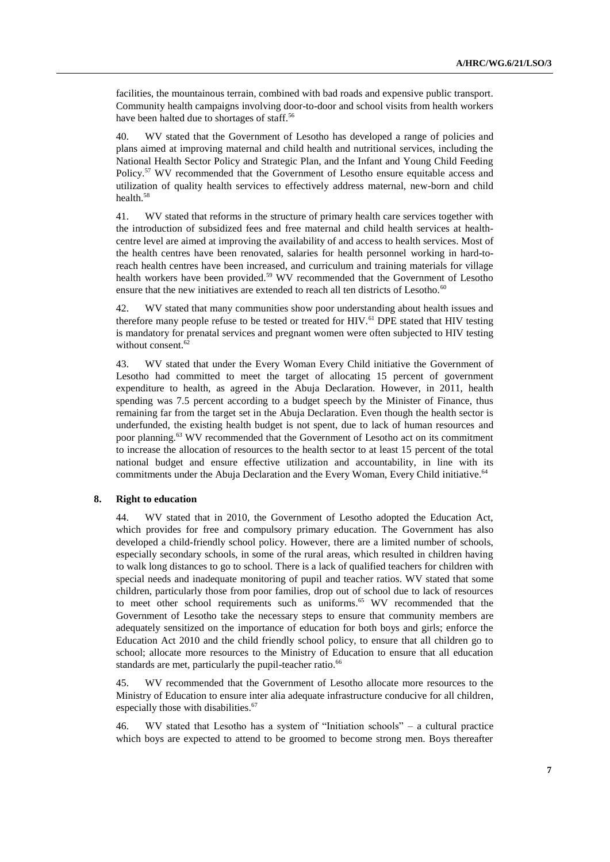facilities, the mountainous terrain, combined with bad roads and expensive public transport. Community health campaigns involving door-to-door and school visits from health workers have been halted due to shortages of staff.<sup>56</sup>

40. WV stated that the Government of Lesotho has developed a range of policies and plans aimed at improving maternal and child health and nutritional services, including the National Health Sector Policy and Strategic Plan, and the Infant and Young Child Feeding Policy.<sup>57</sup> WV recommended that the Government of Lesotho ensure equitable access and utilization of quality health services to effectively address maternal, new-born and child health.<sup>58</sup>

41. WV stated that reforms in the structure of primary health care services together with the introduction of subsidized fees and free maternal and child health services at healthcentre level are aimed at improving the availability of and access to health services. Most of the health centres have been renovated, salaries for health personnel working in hard-toreach health centres have been increased, and curriculum and training materials for village health workers have been provided.<sup>59</sup> WV recommended that the Government of Lesotho ensure that the new initiatives are extended to reach all ten districts of Lesotho. $60$ 

42. WV stated that many communities show poor understanding about health issues and therefore many people refuse to be tested or treated for HIV.<sup>61</sup> DPE stated that HIV testing is mandatory for prenatal services and pregnant women were often subjected to HIV testing without consent.<sup>62</sup>

43. WV stated that under the Every Woman Every Child initiative the Government of Lesotho had committed to meet the target of allocating 15 percent of government expenditure to health, as agreed in the Abuja Declaration. However, in 2011, health spending was 7.5 percent according to a budget speech by the Minister of Finance, thus remaining far from the target set in the Abuja Declaration. Even though the health sector is underfunded, the existing health budget is not spent, due to lack of human resources and poor planning.<sup>63</sup> WV recommended that the Government of Lesotho act on its commitment to increase the allocation of resources to the health sector to at least 15 percent of the total national budget and ensure effective utilization and accountability, in line with its commitments under the Abuja Declaration and the Every Woman, Every Child initiative.<sup>64</sup>

#### **8. Right to education**

44. WV stated that in 2010, the Government of Lesotho adopted the Education Act, which provides for free and compulsory primary education. The Government has also developed a child-friendly school policy. However, there are a limited number of schools, especially secondary schools, in some of the rural areas, which resulted in children having to walk long distances to go to school. There is a lack of qualified teachers for children with special needs and inadequate monitoring of pupil and teacher ratios. WV stated that some children, particularly those from poor families, drop out of school due to lack of resources to meet other school requirements such as uniforms. <sup>65</sup> WV recommended that the Government of Lesotho take the necessary steps to ensure that community members are adequately sensitized on the importance of education for both boys and girls; enforce the Education Act 2010 and the child friendly school policy, to ensure that all children go to school; allocate more resources to the Ministry of Education to ensure that all education standards are met, particularly the pupil-teacher ratio.<sup>66</sup>

45. WV recommended that the Government of Lesotho allocate more resources to the Ministry of Education to ensure inter alia adequate infrastructure conducive for all children, especially those with disabilities.<sup>67</sup>

46. WV stated that Lesotho has a system of "Initiation schools" – a cultural practice which boys are expected to attend to be groomed to become strong men. Boys thereafter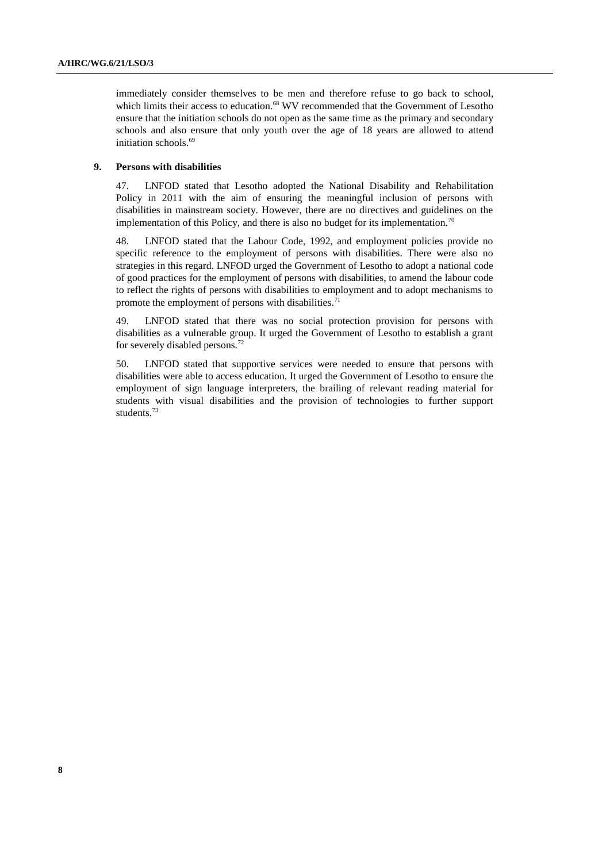immediately consider themselves to be men and therefore refuse to go back to school, which limits their access to education.<sup>68</sup> WV recommended that the Government of Lesotho ensure that the initiation schools do not open as the same time as the primary and secondary schools and also ensure that only youth over the age of 18 years are allowed to attend initiation schools.<sup>69</sup>

## **9. Persons with disabilities**

47. LNFOD stated that Lesotho adopted the National Disability and Rehabilitation Policy in 2011 with the aim of ensuring the meaningful inclusion of persons with disabilities in mainstream society. However, there are no directives and guidelines on the implementation of this Policy, and there is also no budget for its implementation.<sup>70</sup>

48. LNFOD stated that the Labour Code, 1992, and employment policies provide no specific reference to the employment of persons with disabilities. There were also no strategies in this regard. LNFOD urged the Government of Lesotho to adopt a national code of good practices for the employment of persons with disabilities, to amend the labour code to reflect the rights of persons with disabilities to employment and to adopt mechanisms to promote the employment of persons with disabilities.<sup>71</sup>

49. LNFOD stated that there was no social protection provision for persons with disabilities as a vulnerable group. It urged the Government of Lesotho to establish a grant for severely disabled persons.<sup>72</sup>

50. LNFOD stated that supportive services were needed to ensure that persons with disabilities were able to access education. It urged the Government of Lesotho to ensure the employment of sign language interpreters, the brailing of relevant reading material for students with visual disabilities and the provision of technologies to further support students.<sup>73</sup>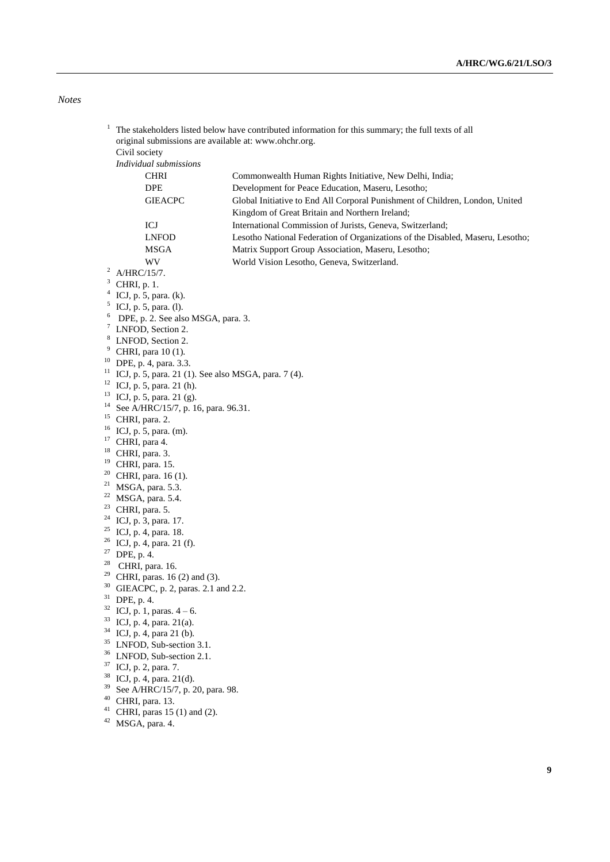## *Notes*

|                            |                                                      | The stakeholders listed below have contributed information for this summary; the full texts of all<br>original submissions are available at: www.ohchr.org. |  |
|----------------------------|------------------------------------------------------|-------------------------------------------------------------------------------------------------------------------------------------------------------------|--|
|                            |                                                      |                                                                                                                                                             |  |
|                            | Civil society<br>Individual submissions              |                                                                                                                                                             |  |
|                            |                                                      |                                                                                                                                                             |  |
|                            | <b>CHRI</b>                                          | Commonwealth Human Rights Initiative, New Delhi, India;                                                                                                     |  |
|                            | <b>DPE</b>                                           | Development for Peace Education, Maseru, Lesotho;                                                                                                           |  |
|                            | <b>GIEACPC</b>                                       | Global Initiative to End All Corporal Punishment of Children, London, United<br>Kingdom of Great Britain and Northern Ireland;                              |  |
|                            | ICJ                                                  | International Commission of Jurists, Geneva, Switzerland;                                                                                                   |  |
|                            | <b>LNFOD</b>                                         | Lesotho National Federation of Organizations of the Disabled, Maseru, Lesotho;                                                                              |  |
|                            | <b>MSGA</b>                                          | Matrix Support Group Association, Maseru, Lesotho;                                                                                                          |  |
|                            | WV.                                                  | World Vision Lesotho, Geneva, Switzerland.                                                                                                                  |  |
| 2                          | A/HRC/15/7.                                          |                                                                                                                                                             |  |
| 3                          | CHRI, p. 1.                                          |                                                                                                                                                             |  |
|                            | ICJ, p. 5, para. (k).                                |                                                                                                                                                             |  |
| 5                          | ICJ, p. 5, para. (l).                                |                                                                                                                                                             |  |
| 6                          | DPE, p. 2. See also MSGA, para. 3.                   |                                                                                                                                                             |  |
| 7                          | LNFOD, Section 2.                                    |                                                                                                                                                             |  |
| 8                          | LNFOD, Section 2.                                    |                                                                                                                                                             |  |
| 9                          | CHRI, para 10 (1).                                   |                                                                                                                                                             |  |
| 10                         | DPE, p. 4, para. 3.3.                                |                                                                                                                                                             |  |
| 11                         | ICJ, p. 5, para. 21 (1). See also MSGA, para. 7 (4). |                                                                                                                                                             |  |
| 12                         | ICJ, p. 5, para. 21 (h).                             |                                                                                                                                                             |  |
| 13                         | ICJ, p. 5, para. 21 (g).                             |                                                                                                                                                             |  |
| 14                         | See A/HRC/15/7, p. 16, para. 96.31.                  |                                                                                                                                                             |  |
| 15                         | CHRI, para. 2.                                       |                                                                                                                                                             |  |
| 16                         | ICJ, p. 5, para. (m).                                |                                                                                                                                                             |  |
| 17                         | CHRI, para 4.                                        |                                                                                                                                                             |  |
| 18                         | CHRI, para. 3.                                       |                                                                                                                                                             |  |
| 19                         | CHRI, para. 15.                                      |                                                                                                                                                             |  |
| 20                         | CHRI, para. 16 (1).                                  |                                                                                                                                                             |  |
| 21                         | MSGA, para. 5.3.                                     |                                                                                                                                                             |  |
| 22                         | MSGA, para. 5.4.                                     |                                                                                                                                                             |  |
| 23                         | CHRI, para. 5.                                       |                                                                                                                                                             |  |
| 24<br>ICJ, p. 3, para. 17. |                                                      |                                                                                                                                                             |  |
| 25                         | ICJ, p. 4, para. 18.                                 |                                                                                                                                                             |  |
| 26                         | ICJ, p. 4, para. 21 (f).                             |                                                                                                                                                             |  |
| 27                         | DPE, p. 4.                                           |                                                                                                                                                             |  |
| 28                         | CHRI, para. 16.                                      |                                                                                                                                                             |  |
| 29                         | CHRI, paras. 16 (2) and (3).                         |                                                                                                                                                             |  |
| 30                         | GIEACPC, p. 2, paras. 2.1 and 2.2.                   |                                                                                                                                                             |  |
|                            | DPE, p. 4.                                           |                                                                                                                                                             |  |
|                            | 32<br>ICJ, p. 1, paras. $4 - 6$ .                    |                                                                                                                                                             |  |
|                            | 33<br>ICJ, p. 4, para. 21(a).                        |                                                                                                                                                             |  |
|                            | 34<br>ICJ, p. 4, para 21 (b).                        |                                                                                                                                                             |  |
|                            | 35<br>LNFOD, Sub-section 3.1.                        |                                                                                                                                                             |  |
| 36                         | LNFOD, Sub-section 2.1.                              |                                                                                                                                                             |  |
| 37                         | ICJ, p. 2, para. 7.                                  |                                                                                                                                                             |  |
| 38                         | ICJ, p. 4, para. 21(d).                              |                                                                                                                                                             |  |
|                            | 39<br>See A/HRC/15/7, p. 20, para. 98.               |                                                                                                                                                             |  |
| 40<br>CHRI, para. 13.      |                                                      |                                                                                                                                                             |  |
| 41                         | CHRI, paras 15 (1) and (2).                          |                                                                                                                                                             |  |
| 42<br>MSGA, para. 4.       |                                                      |                                                                                                                                                             |  |
|                            |                                                      |                                                                                                                                                             |  |
|                            |                                                      |                                                                                                                                                             |  |